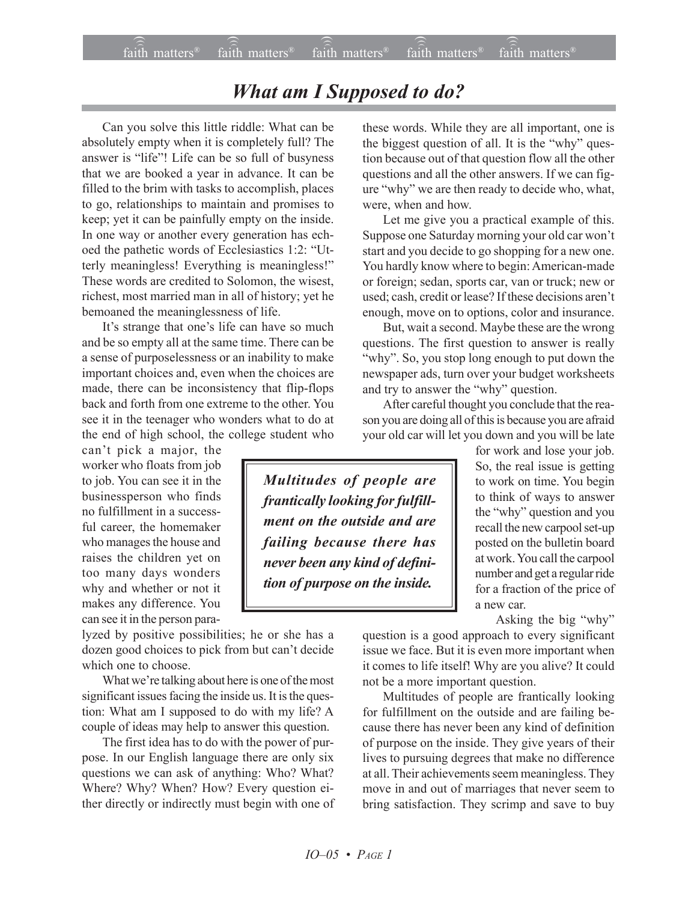## **What am I Supposed to do?**

Can you solve this little riddle: What can be absolutely empty when it is completely full? The answer is "life"! Life can be so full of busyness that we are booked a year in advance. It can be filled to the brim with tasks to accomplish, places to go, relationships to maintain and promises to keep; yet it can be painfully empty on the inside. In one way or another every generation has echoed the pathetic words of Ecclesiastics 1:2: "Utterly meaningless! Everything is meaningless!" These words are credited to Solomon, the wisest, richest, most married man in all of history; yet he bemoaned the meaninglessness of life.

It's strange that one's life can have so much and be so empty all at the same time. There can be a sense of purposelessness or an inability to make important choices and, even when the choices are made, there can be inconsistency that flip-flops back and forth from one extreme to the other. You see it in the teenager who wonders what to do at the end of high school, the college student who

can't pick a major, the worker who floats from job to job. You can see it in the businessperson who finds no fulfillment in a successful career, the homemaker who manages the house and raises the children yet on too many days wonders why and whether or not it makes any difference. You can see it in the person para-

lyzed by positive possibilities; he or she has a dozen good choices to pick from but can't decide which one to choose.

What we're talking about here is one of the most significant issues facing the inside us. It is the question: What am I supposed to do with my life? A couple of ideas may help to answer this question.

The first idea has to do with the power of purpose. In our English language there are only six questions we can ask of anything: Who? What? Where? Why? When? How? Every question either directly or indirectly must begin with one of these words. While they are all important, one is the biggest question of all. It is the "why" question because out of that question flow all the other questions and all the other answers. If we can figure "why" we are then ready to decide who, what, were, when and how.

Let me give you a practical example of this. Suppose one Saturday morning your old car won't start and you decide to go shopping for a new one. You hardly know where to begin: American-made or foreign; sedan, sports car, van or truck; new or used; cash, credit or lease? If these decisions aren't enough, move on to options, color and insurance.

But, wait a second. Maybe these are the wrong questions. The first question to answer is really "why". So, you stop long enough to put down the newspaper ads, turn over your budget worksheets and try to answer the "why" question.

After careful thought you conclude that the reason you are doing all of this is because you are afraid your old car will let you down and you will be late

for work and lose your job. So, the real issue is getting to work on time. You begin to think of ways to answer the "why" question and you recall the new carpool set-up posted on the bulletin board at work. You call the carpool number and get a regular ride for a fraction of the price of a new car

Asking the big "why"

question is a good approach to every significant issue we face. But it is even more important when it comes to life itself! Why are you alive? It could not be a more important question.

Multitudes of people are frantically looking for fulfillment on the outside and are failing because there has never been any kind of definition of purpose on the inside. They give years of their lives to pursuing degrees that make no difference at all. Their achievements seem meaningless. They move in and out of marriages that never seem to bring satisfaction. They scrimp and save to buy

Multitudes of people are frantically looking for fulfillment on the outside and are failing because there has never been any kind of definition of purpose on the inside.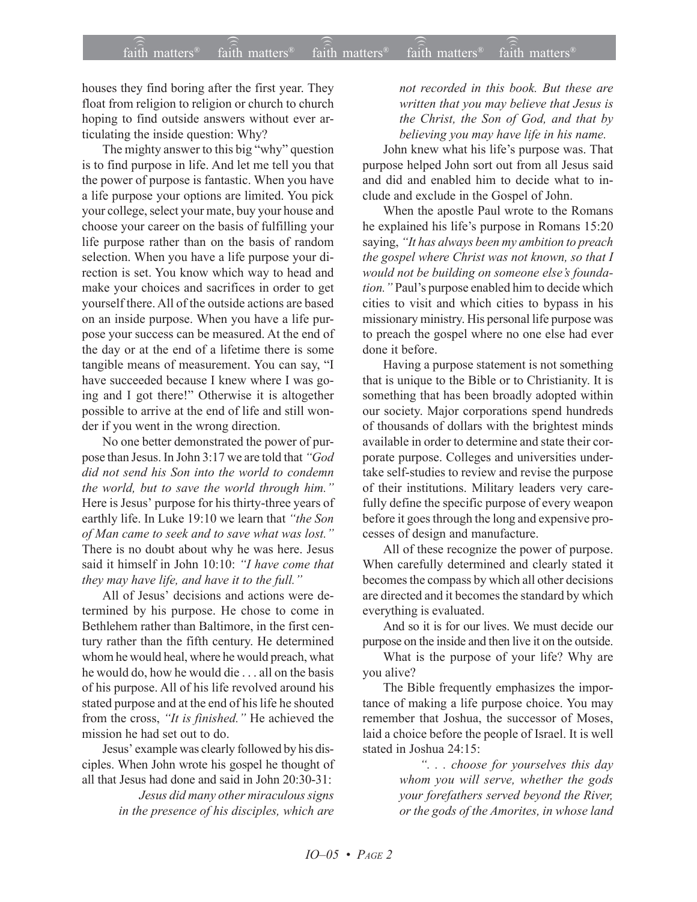houses they find boring after the first year. They float from religion to religion or church to church hoping to find outside answers without ever articulating the inside question: Why?

The mighty answer to this big "why" question is to find purpose in life. And let me tell you that the power of purpose is fantastic. When you have a life purpose your options are limited. You pick your college, select your mate, buy your house and choose your career on the basis of fulfilling your life purpose rather than on the basis of random selection. When you have a life purpose your direction is set. You know which way to head and make your choices and sacrifices in order to get yourself there. All of the outside actions are based on an inside purpose. When you have a life purpose your success can be measured. At the end of the day or at the end of a lifetime there is some tangible means of measurement. You can say, "I have succeeded because I knew where I was going and I got there!" Otherwise it is altogether possible to arrive at the end of life and still wonder if you went in the wrong direction.

No one better demonstrated the power of purpose than Jesus. In John 3:17 we are told that *''God did not send his Son into the world to condemn the world, but to save the world through him.î* Here is Jesus' purpose for his thirty-three years of earthly life. In Luke 19:10 we learn that "the Son *of Man came to seek and to save what was lost.î* There is no doubt about why he was here. Jesus said it himself in John 10:10: *''I have come that* they may have life, and have it to the full.<sup>"</sup>

All of Jesus' decisions and actions were determined by his purpose. He chose to come in Bethlehem rather than Baltimore, in the first century rather than the fifth century. He determined whom he would heal, where he would preach, what he would do, how he would die . . . all on the basis of his purpose. All of his life revolved around his stated purpose and at the end of his life he shouted from the cross, "It is finished." He achieved the mission he had set out to do.

Jesus' example was clearly followed by his disciples. When John wrote his gospel he thought of all that Jesus had done and said in John 20:30-31:

> *Jesus did many other miraculous signs in the presence of his disciples, which are*

*not recorded in this book. But these are written that you may believe that Jesus is the Christ, the Son of God, and that by believing you may have life in his name.*

John knew what his life's purpose was. That purpose helped John sort out from all Jesus said and did and enabled him to decide what to include and exclude in the Gospel of John.

When the apostle Paul wrote to the Romans he explained his life's purpose in Romans 15:20 saying, "It has always been my ambition to preach *the gospel where Christ was not known, so that I* would not be building on someone else's foundation." Paul's purpose enabled him to decide which cities to visit and which cities to bypass in his missionary ministry. His personal life purpose was to preach the gospel where no one else had ever done it before.

Having a purpose statement is not something that is unique to the Bible or to Christianity. It is something that has been broadly adopted within our society. Major corporations spend hundreds of thousands of dollars with the brightest minds available in order to determine and state their corporate purpose. Colleges and universities undertake self-studies to review and revise the purpose of their institutions. Military leaders very carefully define the specific purpose of every weapon before it goes through the long and expensive processes of design and manufacture.

All of these recognize the power of purpose. When carefully determined and clearly stated it becomes the compass by which all other decisions are directed and it becomes the standard by which everything is evaluated.

And so it is for our lives. We must decide our purpose on the inside and then live it on the outside.

What is the purpose of your life? Why are you alive?

The Bible frequently emphasizes the importance of making a life purpose choice. You may remember that Joshua, the successor of Moses, laid a choice before the people of Israel. It is well stated in Joshua 24:15:

> *ì. . . choose for yourselves this day whom you will serve, whether the gods your forefathers served beyond the River, or the gods of the Amorites, in whose land*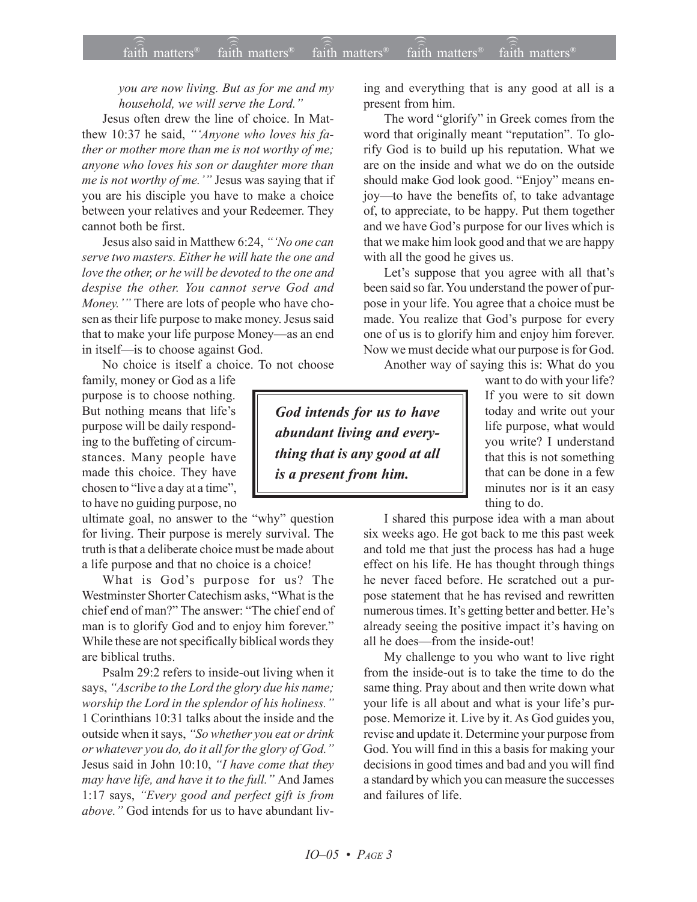*you are now living. But as for me and my household, we will serve the Lord.*<sup>*n*</sup>

Jesus often drew the line of choice. In Matthew 10:37 he said, "'Anyone who loves his fa*ther or mother more than me is not worthy of me; anyone who loves his son or daughter more than me is not worthy of me.*<sup>\*\*</sup> Jesus was saying that if you are his disciple you have to make a choice between your relatives and your Redeemer. They cannot both be first.

Jesus also said in Matthew 6:24, "*No one can serve two masters. Either he will hate the one and love the other, or he will be devoted to the one and despise the other. You cannot serve God and Money.*<sup>*n*</sup> There are lots of people who have chosen as their life purpose to make money. Jesus said that to make your life purpose Money—as an end in itself—is to choose against God.

No choice is itself a choice. To not choose

family, money or God as a life purpose is to choose nothing. But nothing means that life's purpose will be daily responding to the buffeting of circumstances. Many people have made this choice. They have chosen to "live a day at a time", to have no guiding purpose, no

ultimate goal, no answer to the "why" question for living. Their purpose is merely survival. The truth is that a deliberate choice must be made about a life purpose and that no choice is a choice!

What is God's purpose for us? The Westminster Shorter Catechism asks, "What is the chief end of man?" The answer: "The chief end of man is to glorify God and to enjoy him forever." While these are not specifically biblical words they are biblical truths.

Psalm 29:2 refers to inside-out living when it says, "Ascribe to the Lord the glory due his name; worship the Lord in the splendor of his holiness.<sup>"</sup> 1 Corinthians 10:31 talks about the inside and the outside when it says, "So whether you eat or drink *or whatever you do, do it all for the glory of God.î* Jesus said in John 10:10, *ìI have come that they may have life, and have it to the full.*" And James 1:17 says, *ìEvery good and perfect gift is from above.*" God intends for us to have abundant living and everything that is any good at all is a present from him.

The word "glorify" in Greek comes from the word that originally meant "reputation". To glorify God is to build up his reputation. What we are on the inside and what we do on the outside should make God look good. "Enjoy" means enjoy-to have the benefits of, to take advantage of, to appreciate, to be happy. Put them together and we have God's purpose for our lives which is that we make him look good and that we are happy with all the good he gives us.

Let's suppose that you agree with all that's been said so far. You understand the power of purpose in your life. You agree that a choice must be made. You realize that God's purpose for every one of us is to glorify him and enjoy him forever. Now we must decide what our purpose is for God.

Another way of saying this is: What do you

*God intends for us to have abundant living and everything that is any good at all is a present from him.*

want to do with your life? If you were to sit down today and write out your life purpose, what would you write? I understand that this is not something that can be done in a few minutes nor is it an easy thing to do.

I shared this purpose idea with a man about six weeks ago. He got back to me this past week and told me that just the process has had a huge effect on his life. He has thought through things he never faced before. He scratched out a purpose statement that he has revised and rewritten numerous times. It's getting better and better. He's already seeing the positive impact it's having on all he does—from the inside-out!

My challenge to you who want to live right from the inside-out is to take the time to do the same thing. Pray about and then write down what your life is all about and what is your life's purpose. Memorize it. Live by it. As God guides you, revise and update it. Determine your purpose from God. You will find in this a basis for making your decisions in good times and bad and you will find a standard by which you can measure the successes and failures of life.